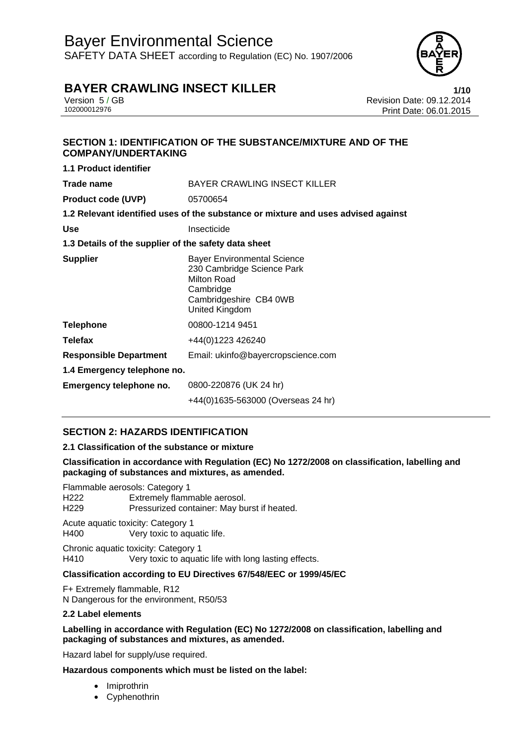### Bayer Environmental Science SAFETY DATA SHEET according to Regulation (EC) No. 1907/2006



### **BAYER CRAWLING INSECT KILLER 1/10**

**1.1 Product identifier** 

Version 5 / GB Revision Date: 09.12.2014 Print Date: 06.01.2015

### **SECTION 1: IDENTIFICATION OF THE SUBSTANCE/MIXTURE AND OF THE COMPANY/UNDERTAKING**

| 1.1 Product identifier                               |                                                                                                                                          |  |
|------------------------------------------------------|------------------------------------------------------------------------------------------------------------------------------------------|--|
| Trade name                                           | <b>BAYER CRAWLING INSECT KILLER</b>                                                                                                      |  |
| <b>Product code (UVP)</b>                            | 05700654                                                                                                                                 |  |
|                                                      | 1.2 Relevant identified uses of the substance or mixture and uses advised against                                                        |  |
| <b>Use</b>                                           | Insecticide                                                                                                                              |  |
| 1.3 Details of the supplier of the safety data sheet |                                                                                                                                          |  |
| <b>Supplier</b>                                      | <b>Bayer Environmental Science</b><br>230 Cambridge Science Park<br>Milton Road<br>Cambridge<br>Cambridgeshire CB4 0WB<br>United Kingdom |  |
| <b>Telephone</b>                                     | 00800-1214 9451                                                                                                                          |  |
| <b>Telefax</b>                                       | +44(0)1223 426240                                                                                                                        |  |
| <b>Responsible Department</b>                        | Email: ukinfo@bayercropscience.com                                                                                                       |  |
| 1.4 Emergency telephone no.                          |                                                                                                                                          |  |
| Emergency telephone no.                              | 0800-220876 (UK 24 hr)                                                                                                                   |  |
|                                                      | +44(0)1635-563000 (Overseas 24 hr)                                                                                                       |  |

### **SECTION 2: HAZARDS IDENTIFICATION**

### **2.1 Classification of the substance or mixture**

**Classification in accordance with Regulation (EC) No 1272/2008 on classification, labelling and packaging of substances and mixtures, as amended.** 

Flammable aerosols: Category 1 H222 Extremely flammable aerosol.<br>H229 Pressurized container: May bu Pressurized container: May burst if heated.

Acute aquatic toxicity: Category 1 H400 Very toxic to aquatic life.

Chronic aquatic toxicity: Category 1 H410 Very toxic to aquatic life with long lasting effects.

### **Classification according to EU Directives 67/548/EEC or 1999/45/EC**

F+ Extremely flammable, R12 N Dangerous for the environment, R50/53

### **2.2 Label elements**

### **Labelling in accordance with Regulation (EC) No 1272/2008 on classification, labelling and packaging of substances and mixtures, as amended.**

Hazard label for supply/use required.

### **Hazardous components which must be listed on the label:**

- Imiprothrin
- Cyphenothrin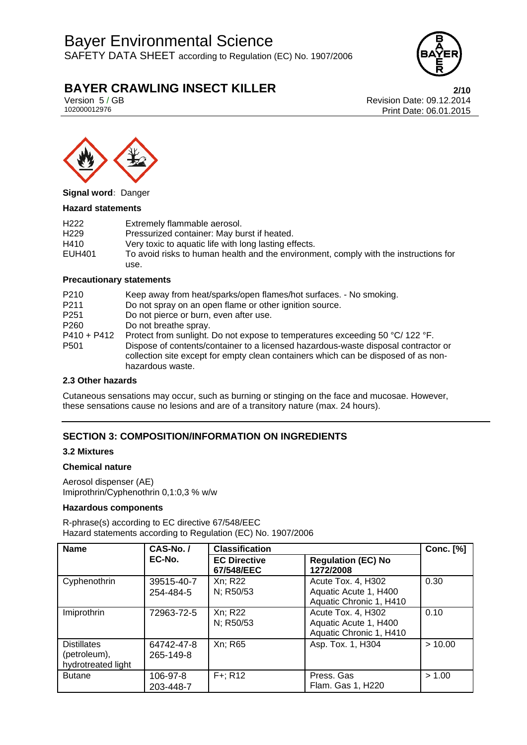## Bayer Environmental Science

SAFETY DATA SHEET according to Regulation (EC) No. 1907/2006



### **BAYER CRAWLING INSECT KILLER 2/10**

Version 5 / GB Revision Date: 09.12.2014 Print Date: 06.01.2015



**Signal word:** Danger

### **Hazard statements**

| H <sub>222</sub> | Extremely flammable aerosol.                                                         |
|------------------|--------------------------------------------------------------------------------------|
| H <sub>229</sub> | Pressurized container: May burst if heated.                                          |
| H410             | Very toxic to aquatic life with long lasting effects.                                |
| EUH401           | To avoid risks to human health and the environment, comply with the instructions for |
|                  | use.                                                                                 |

#### **Precautionary statements**

| P <sub>210</sub>                  | Keep away from heat/sparks/open flames/hot surfaces. - No smoking.                                                                                                                                                                                                            |
|-----------------------------------|-------------------------------------------------------------------------------------------------------------------------------------------------------------------------------------------------------------------------------------------------------------------------------|
| P <sub>211</sub>                  | Do not spray on an open flame or other ignition source.                                                                                                                                                                                                                       |
| P <sub>251</sub>                  | Do not pierce or burn, even after use.                                                                                                                                                                                                                                        |
| P <sub>260</sub>                  | Do not breathe spray.                                                                                                                                                                                                                                                         |
| $P410 + P412$<br>P <sub>501</sub> | Protect from sunlight. Do not expose to temperatures exceeding 50 °C/ 122 °F.<br>Dispose of contents/container to a licensed hazardous-waste disposal contractor or<br>collection site except for empty clean containers which can be disposed of as non-<br>hazardous waste. |

#### **2.3 Other hazards**

Cutaneous sensations may occur, such as burning or stinging on the face and mucosae. However, these sensations cause no lesions and are of a transitory nature (max. 24 hours).

### **SECTION 3: COMPOSITION/INFORMATION ON INGREDIENTS**

### **3.2 Mixtures**

#### **Chemical nature**

Aerosol dispenser (AE) Imiprothrin/Cyphenothrin 0,1:0,3 % w/w

### **Hazardous components**

R-phrase(s) according to EC directive 67/548/EEC Hazard statements according to Regulation (EC) No. 1907/2006

| <b>Name</b>                                              | CAS-No./                | <b>Classification</b>             |                                                                        | <b>Conc.</b> [%] |
|----------------------------------------------------------|-------------------------|-----------------------------------|------------------------------------------------------------------------|------------------|
|                                                          | EC-No.                  | <b>EC Directive</b><br>67/548/EEC | <b>Regulation (EC) No</b><br>1272/2008                                 |                  |
| Cyphenothrin                                             | 39515-40-7<br>254-484-5 | Xn; R22<br>N; R50/53              | Acute Tox. 4, H302<br>Aquatic Acute 1, H400<br>Aquatic Chronic 1, H410 | 0.30             |
| Imiprothrin                                              | 72963-72-5              | Xn; R22<br>N; R50/53              | Acute Tox. 4, H302<br>Aquatic Acute 1, H400<br>Aquatic Chronic 1, H410 | 0.10             |
| <b>Distillates</b><br>(petroleum),<br>hydrotreated light | 64742-47-8<br>265-149-8 | Xn; R65                           | Asp. Tox. 1, H304                                                      | > 10.00          |
| <b>Butane</b>                                            | 106-97-8<br>203-448-7   | $F +$ ; R12                       | Press, Gas<br>Flam. Gas 1, H220                                        | > 1.00           |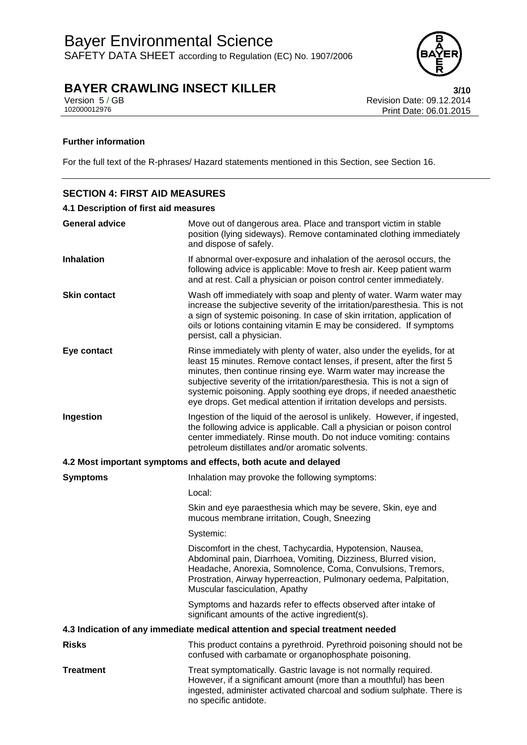

Version 5 / GB Revision Date: 09.12.2014 Print Date: 06.01.2015

### **Further information**

For the full text of the R-phrases/ Hazard statements mentioned in this Section, see Section 16.

## **SECTION 4: FIRST AID MEASURES 4.1 Description of first aid measures**

| <b>General advice</b> | Move out of dangerous area. Place and transport victim in stable<br>position (lying sideways). Remove contaminated clothing immediately<br>and dispose of safely.                                                                                                                                                                                                                                                                               |  |
|-----------------------|-------------------------------------------------------------------------------------------------------------------------------------------------------------------------------------------------------------------------------------------------------------------------------------------------------------------------------------------------------------------------------------------------------------------------------------------------|--|
| <b>Inhalation</b>     | If abnormal over-exposure and inhalation of the aerosol occurs, the<br>following advice is applicable: Move to fresh air. Keep patient warm<br>and at rest. Call a physician or poison control center immediately.                                                                                                                                                                                                                              |  |
| <b>Skin contact</b>   | Wash off immediately with soap and plenty of water. Warm water may<br>increase the subjective severity of the irritation/paresthesia. This is not<br>a sign of systemic poisoning. In case of skin irritation, application of<br>oils or lotions containing vitamin E may be considered. If symptoms<br>persist, call a physician.                                                                                                              |  |
| Eye contact           | Rinse immediately with plenty of water, also under the eyelids, for at<br>least 15 minutes. Remove contact lenses, if present, after the first 5<br>minutes, then continue rinsing eye. Warm water may increase the<br>subjective severity of the irritation/paresthesia. This is not a sign of<br>systemic poisoning. Apply soothing eye drops, if needed anaesthetic<br>eye drops. Get medical attention if irritation develops and persists. |  |
| Ingestion             | Ingestion of the liquid of the aerosol is unlikely. However, if ingested,<br>the following advice is applicable. Call a physician or poison control<br>center immediately. Rinse mouth. Do not induce vomiting: contains<br>petroleum distillates and/or aromatic solvents.                                                                                                                                                                     |  |
|                       | 4.2 Most important symptoms and effects, both acute and delayed                                                                                                                                                                                                                                                                                                                                                                                 |  |
| <b>Symptoms</b>       | Inhalation may provoke the following symptoms:                                                                                                                                                                                                                                                                                                                                                                                                  |  |
|                       | Local:                                                                                                                                                                                                                                                                                                                                                                                                                                          |  |
|                       | Skin and eye paraesthesia which may be severe, Skin, eye and<br>mucous membrane irritation, Cough, Sneezing                                                                                                                                                                                                                                                                                                                                     |  |
|                       | Systemic:                                                                                                                                                                                                                                                                                                                                                                                                                                       |  |
|                       | Discomfort in the chest, Tachycardia, Hypotension, Nausea,<br>Abdominal pain, Diarrhoea, Vomiting, Dizziness, Blurred vision,<br>Headache, Anorexia, Somnolence, Coma, Convulsions, Tremors,<br>Prostration, Airway hyperreaction, Pulmonary oedema, Palpitation,<br>Muscular fasciculation, Apathy                                                                                                                                             |  |
|                       | Symptoms and hazards refer to effects observed after intake of<br>significant amounts of the active ingredient(s).                                                                                                                                                                                                                                                                                                                              |  |
|                       | 4.3 Indication of any immediate medical attention and special treatment needed                                                                                                                                                                                                                                                                                                                                                                  |  |
| <b>Risks</b>          | This product contains a pyrethroid. Pyrethroid poisoning should not be<br>confused with carbamate or organophosphate poisoning.                                                                                                                                                                                                                                                                                                                 |  |
| <b>Treatment</b>      | Treat symptomatically. Gastric lavage is not normally required.<br>However, if a significant amount (more than a mouthful) has been<br>ingested, administer activated charcoal and sodium sulphate. There is<br>no specific antidote.                                                                                                                                                                                                           |  |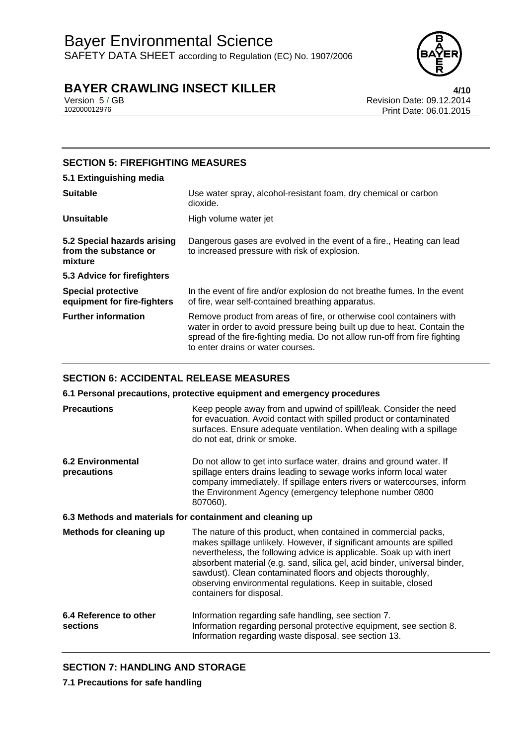

Version 5 / GB Revision Date: 09.12.2014 Print Date: 06.01.2015

### **SECTION 5: FIREFIGHTING MEASURES**

### **5.1 Extinguishing media**

| <b>Suitable</b>                                                 | Use water spray, alcohol-resistant foam, dry chemical or carbon<br>dioxide.                                                                                                                                                                                         |
|-----------------------------------------------------------------|---------------------------------------------------------------------------------------------------------------------------------------------------------------------------------------------------------------------------------------------------------------------|
| <b>Unsuitable</b>                                               | High volume water jet                                                                                                                                                                                                                                               |
| 5.2 Special hazards arising<br>from the substance or<br>mixture | Dangerous gases are evolved in the event of a fire., Heating can lead<br>to increased pressure with risk of explosion.                                                                                                                                              |
| 5.3 Advice for firefighters                                     |                                                                                                                                                                                                                                                                     |
| <b>Special protective</b><br>equipment for fire-fighters        | In the event of fire and/or explosion do not breathe fumes. In the event<br>of fire, wear self-contained breathing apparatus.                                                                                                                                       |
| <b>Further information</b>                                      | Remove product from areas of fire, or otherwise cool containers with<br>water in order to avoid pressure being built up due to heat. Contain the<br>spread of the fire-fighting media. Do not allow run-off from fire fighting<br>to enter drains or water courses. |

### **SECTION 6: ACCIDENTAL RELEASE MEASURES**

**6.1 Personal precautions, protective equipment and emergency procedures** 

| <b>Precautions</b>                                        | Keep people away from and upwind of spill/leak. Consider the need<br>for evacuation. Avoid contact with spilled product or contaminated<br>surfaces. Ensure adequate ventilation. When dealing with a spillage<br>do not eat, drink or smoke.                                                                                                                                                                                                            |
|-----------------------------------------------------------|----------------------------------------------------------------------------------------------------------------------------------------------------------------------------------------------------------------------------------------------------------------------------------------------------------------------------------------------------------------------------------------------------------------------------------------------------------|
| <b>6.2 Environmental</b><br>precautions                   | Do not allow to get into surface water, drains and ground water. If<br>spillage enters drains leading to sewage works inform local water<br>company immediately. If spillage enters rivers or watercourses, inform<br>the Environment Agency (emergency telephone number 0800<br>807060).                                                                                                                                                                |
| 6.3 Methods and materials for containment and cleaning up |                                                                                                                                                                                                                                                                                                                                                                                                                                                          |
| Methods for cleaning up                                   | The nature of this product, when contained in commercial packs,<br>makes spillage unlikely. However, if significant amounts are spilled<br>nevertheless, the following advice is applicable. Soak up with inert<br>absorbent material (e.g. sand, silica gel, acid binder, universal binder,<br>sawdust). Clean contaminated floors and objects thoroughly,<br>observing environmental regulations. Keep in suitable, closed<br>containers for disposal. |
| 6.4 Reference to other<br>sections                        | Information regarding safe handling, see section 7.<br>Information regarding personal protective equipment, see section 8.<br>Information regarding waste disposal, see section 13.                                                                                                                                                                                                                                                                      |

### **SECTION 7: HANDLING AND STORAGE**

**7.1 Precautions for safe handling**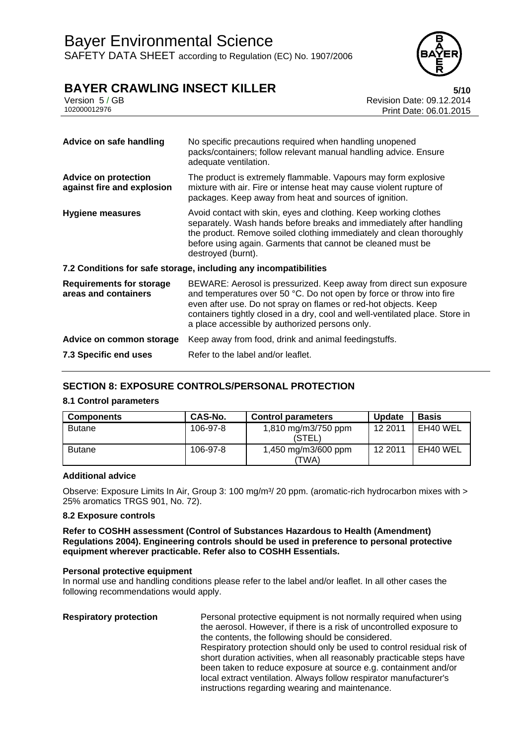

### **BAYER CRAWLING INSECT KILLER** 5/10

|              | .                                |
|--------------|----------------------------------|
| Version 5/GB | <b>Revision Date: 09.12.2014</b> |
| 102000012976 | Print Date: 06.01.2015           |
|              |                                  |

| Advice on safe handling                                   | No specific precautions required when handling unopened<br>packs/containers; follow relevant manual handling advice. Ensure<br>adequate ventilation.                                                                                                                                                                                            |  |
|-----------------------------------------------------------|-------------------------------------------------------------------------------------------------------------------------------------------------------------------------------------------------------------------------------------------------------------------------------------------------------------------------------------------------|--|
| <b>Advice on protection</b><br>against fire and explosion | The product is extremely flammable. Vapours may form explosive<br>mixture with air. Fire or intense heat may cause violent rupture of<br>packages. Keep away from heat and sources of ignition.                                                                                                                                                 |  |
| <b>Hygiene measures</b>                                   | Avoid contact with skin, eyes and clothing. Keep working clothes<br>separately. Wash hands before breaks and immediately after handling<br>the product. Remove soiled clothing immediately and clean thoroughly<br>before using again. Garments that cannot be cleaned must be<br>destroyed (burnt).                                            |  |
|                                                           | 7.2 Conditions for safe storage, including any incompatibilities                                                                                                                                                                                                                                                                                |  |
| <b>Requirements for storage</b><br>areas and containers   | BEWARE: Aerosol is pressurized. Keep away from direct sun exposure<br>and temperatures over 50 °C. Do not open by force or throw into fire<br>even after use. Do not spray on flames or red-hot objects. Keep<br>containers tightly closed in a dry, cool and well-ventilated place. Store in<br>a place accessible by authorized persons only. |  |
| Advice on common storage                                  | Keep away from food, drink and animal feedingstuffs.                                                                                                                                                                                                                                                                                            |  |
| 7.3 Specific end uses                                     | Refer to the label and/or leaflet.                                                                                                                                                                                                                                                                                                              |  |

### **SECTION 8: EXPOSURE CONTROLS/PERSONAL PROTECTION**

### **8.1 Control parameters**

| <b>Components</b> | CAS-No.  | <b>Control parameters</b>     | <b>Update</b> | <b>Basis</b> |
|-------------------|----------|-------------------------------|---------------|--------------|
| <b>Butane</b>     | 106-97-8 | 1,810 mg/m3/750 ppm<br>(STEL) | 12 2011       | EH40 WEL     |
| <b>Butane</b>     | 106-97-8 | 1,450 mg/m3/600 ppm<br>'TWA)  | 12 2011       | EH40 WEL     |

### **Additional advice**

Observe: Exposure Limits In Air, Group 3: 100 mg/m<sup>3</sup>/ 20 ppm. (aromatic-rich hydrocarbon mixes with > 25% aromatics TRGS 901, No. 72).

### **8.2 Exposure controls**

**Refer to COSHH assessment (Control of Substances Hazardous to Health (Amendment) Regulations 2004). Engineering controls should be used in preference to personal protective equipment wherever practicable. Refer also to COSHH Essentials.**

#### **Personal protective equipment**

In normal use and handling conditions please refer to the label and/or leaflet. In all other cases the following recommendations would apply.

| <b>Respiratory protection</b> | Personal protective equipment is not normally required when using      |
|-------------------------------|------------------------------------------------------------------------|
|                               | the aerosol. However, if there is a risk of uncontrolled exposure to   |
|                               | the contents, the following should be considered.                      |
|                               | Respiratory protection should only be used to control residual risk of |
|                               | short duration activities, when all reasonably practicable steps have  |
|                               | been taken to reduce exposure at source e.g. containment and/or        |
|                               | local extract ventilation. Always follow respirator manufacturer's     |
|                               | instructions regarding wearing and maintenance.                        |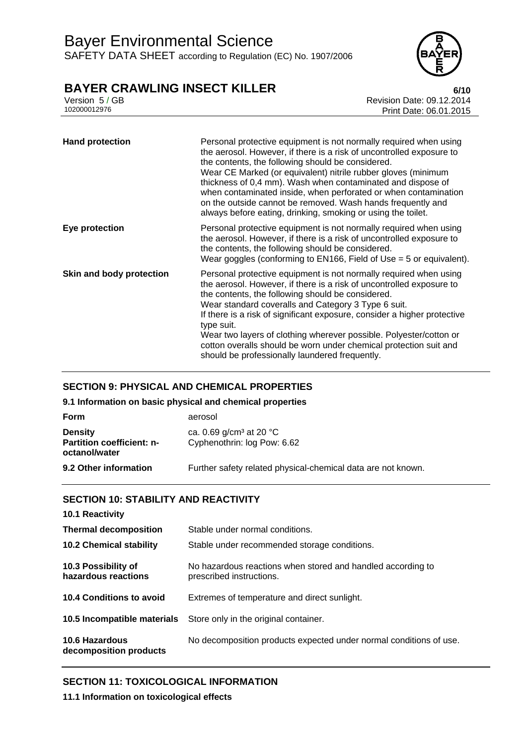

Version 5 / GB Revision Date: 09.12.2014 Print Date: 06.01.2015

| <b>Hand protection</b>   | Personal protective equipment is not normally required when using<br>the aerosol. However, if there is a risk of uncontrolled exposure to<br>the contents, the following should be considered.<br>Wear CE Marked (or equivalent) nitrile rubber gloves (minimum<br>thickness of 0,4 mm). Wash when contaminated and dispose of<br>when contaminated inside, when perforated or when contamination<br>on the outside cannot be removed. Wash hands frequently and<br>always before eating, drinking, smoking or using the toilet.             |
|--------------------------|----------------------------------------------------------------------------------------------------------------------------------------------------------------------------------------------------------------------------------------------------------------------------------------------------------------------------------------------------------------------------------------------------------------------------------------------------------------------------------------------------------------------------------------------|
| Eye protection           | Personal protective equipment is not normally required when using<br>the aerosol. However, if there is a risk of uncontrolled exposure to<br>the contents, the following should be considered.<br>Wear goggles (conforming to $EN166$ , Field of Use = 5 or equivalent).                                                                                                                                                                                                                                                                     |
| Skin and body protection | Personal protective equipment is not normally required when using<br>the aerosol. However, if there is a risk of uncontrolled exposure to<br>the contents, the following should be considered.<br>Wear standard coveralls and Category 3 Type 6 suit.<br>If there is a risk of significant exposure, consider a higher protective<br>type suit.<br>Wear two layers of clothing wherever possible. Polyester/cotton or<br>cotton overalls should be worn under chemical protection suit and<br>should be professionally laundered frequently. |

### **SECTION 9: PHYSICAL AND CHEMICAL PROPERTIES**

**9.1 Information on basic physical and chemical properties** 

| Form                                                                | aerosol                                                                      |
|---------------------------------------------------------------------|------------------------------------------------------------------------------|
| <b>Density</b><br><b>Partition coefficient: n-</b><br>octanol/water | ca. 0.69 g/cm <sup>3</sup> at 20 $^{\circ}$ C<br>Cyphenothrin: log Pow: 6.62 |
| 9.2 Other information                                               | Further safety related physical-chemical data are not known.                 |

### **SECTION 10: STABILITY AND REACTIVITY**

| 10.1 Reactivity                            |                                                                                         |
|--------------------------------------------|-----------------------------------------------------------------------------------------|
| <b>Thermal decomposition</b>               | Stable under normal conditions.                                                         |
| <b>10.2 Chemical stability</b>             | Stable under recommended storage conditions.                                            |
| 10.3 Possibility of<br>hazardous reactions | No hazardous reactions when stored and handled according to<br>prescribed instructions. |
| 10.4 Conditions to avoid                   | Extremes of temperature and direct sunlight.                                            |
| 10.5 Incompatible materials                | Store only in the original container.                                                   |
| 10.6 Hazardous<br>decomposition products   | No decomposition products expected under normal conditions of use.                      |

### **SECTION 11: TOXICOLOGICAL INFORMATION**

**11.1 Information on toxicological effects**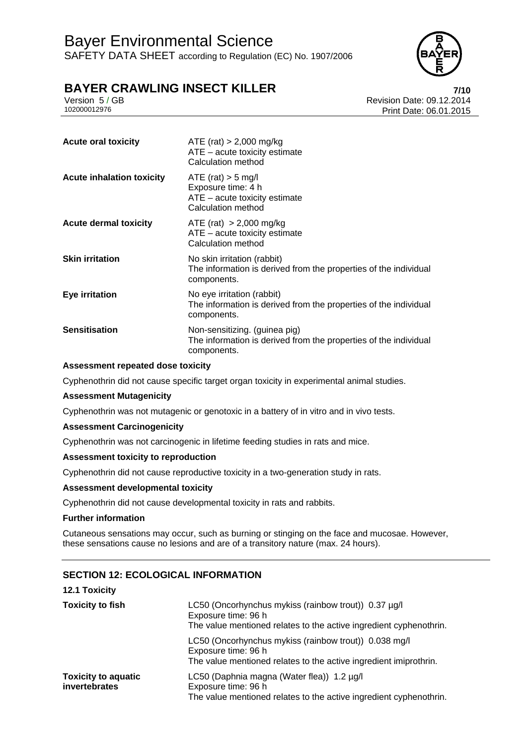

### **BAYER CRAWLING INSECT KILLER 7/10**

Version 5 / GB Revision Date: 09.12.2014 Print Date: 06.01.2015

| <b>Acute oral toxicity</b>       | ATE (rat) $> 2,000$ mg/kg<br>$ATE - acute$ toxicity estimate<br>Calculation method                               |
|----------------------------------|------------------------------------------------------------------------------------------------------------------|
| <b>Acute inhalation toxicity</b> | $ATE$ (rat) $> 5$ mg/l<br>Exposure time: 4 h<br>$ATE - acute$ toxicity estimate<br>Calculation method            |
| <b>Acute dermal toxicity</b>     | $ATE$ (rat) $> 2,000$ mg/kg<br>$ATE - acute$ toxicity estimate<br>Calculation method                             |
| <b>Skin irritation</b>           | No skin irritation (rabbit)<br>The information is derived from the properties of the individual<br>components.   |
| Eye irritation                   | No eye irritation (rabbit)<br>The information is derived from the properties of the individual<br>components.    |
| <b>Sensitisation</b>             | Non-sensitizing. (guinea pig)<br>The information is derived from the properties of the individual<br>components. |

### **Assessment repeated dose toxicity**

Cyphenothrin did not cause specific target organ toxicity in experimental animal studies.

#### **Assessment Mutagenicity**

Cyphenothrin was not mutagenic or genotoxic in a battery of in vitro and in vivo tests.

#### **Assessment Carcinogenicity**

Cyphenothrin was not carcinogenic in lifetime feeding studies in rats and mice.

#### **Assessment toxicity to reproduction**

Cyphenothrin did not cause reproductive toxicity in a two-generation study in rats.

#### **Assessment developmental toxicity**

Cyphenothrin did not cause developmental toxicity in rats and rabbits.

### **Further information**

Cutaneous sensations may occur, such as burning or stinging on the face and mucosae. However, these sensations cause no lesions and are of a transitory nature (max. 24 hours).

### **SECTION 12: ECOLOGICAL INFORMATION**

#### **12.1 Toxicity**

| <b>Toxicity to fish</b>                     | LC50 (Oncorhynchus mykiss (rainbow trout)) 0.37 µg/l<br>Exposure time: 96 h<br>The value mentioned relates to the active ingredient cyphenothrin. |
|---------------------------------------------|---------------------------------------------------------------------------------------------------------------------------------------------------|
|                                             | LC50 (Oncorhynchus mykiss (rainbow trout)) 0.038 mg/l<br>Exposure time: 96 h<br>The value mentioned relates to the active ingredient imiprothrin. |
| <b>Toxicity to aquatic</b><br>invertebrates | LC50 (Daphnia magna (Water flea)) 1.2 µg/l<br>Exposure time: 96 h<br>The value mentioned relates to the active ingredient cyphenothrin.           |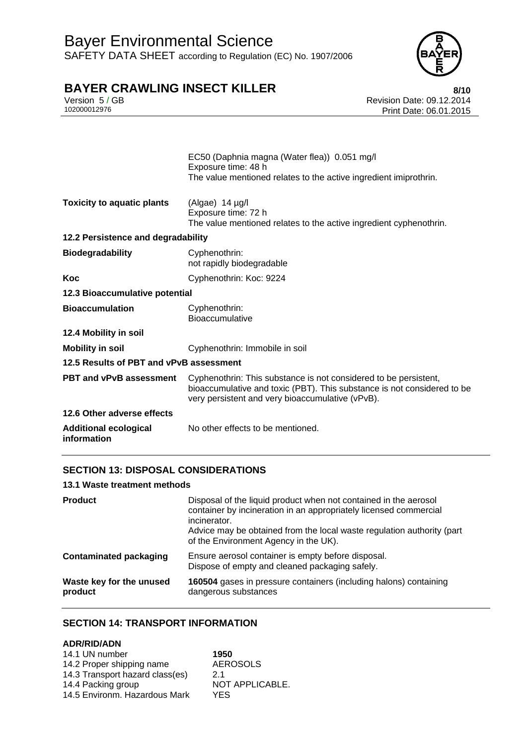

Version 5 / GB Revision Date: 09.12.2014 Print Date: 06.01.2015

|                                             | EC50 (Daphnia magna (Water flea)) 0.051 mg/l<br>Exposure time: 48 h<br>The value mentioned relates to the active ingredient imiprothrin.                                                        |  |
|---------------------------------------------|-------------------------------------------------------------------------------------------------------------------------------------------------------------------------------------------------|--|
| <b>Toxicity to aquatic plants</b>           | (Algae) $14 \mu g/l$<br>Exposure time: 72 h<br>The value mentioned relates to the active ingredient cyphenothrin.                                                                               |  |
| 12.2 Persistence and degradability          |                                                                                                                                                                                                 |  |
| <b>Biodegradability</b>                     | Cyphenothrin:<br>not rapidly biodegradable                                                                                                                                                      |  |
| Koc                                         | Cyphenothrin: Koc: 9224                                                                                                                                                                         |  |
| 12.3 Bioaccumulative potential              |                                                                                                                                                                                                 |  |
| <b>Bioaccumulation</b>                      | Cyphenothrin:<br><b>Bioaccumulative</b>                                                                                                                                                         |  |
| 12.4 Mobility in soil                       |                                                                                                                                                                                                 |  |
| <b>Mobility in soil</b>                     | Cyphenothrin: Immobile in soil                                                                                                                                                                  |  |
| 12.5 Results of PBT and vPvB assessment     |                                                                                                                                                                                                 |  |
| <b>PBT and vPvB assessment</b>              | Cyphenothrin: This substance is not considered to be persistent,<br>bioaccumulative and toxic (PBT). This substance is not considered to be<br>very persistent and very bioaccumulative (vPvB). |  |
| 12.6 Other adverse effects                  |                                                                                                                                                                                                 |  |
| <b>Additional ecological</b><br>information | No other effects to be mentioned.                                                                                                                                                               |  |

### **SECTION 13: DISPOSAL CONSIDERATIONS**

### **13.1 Waste treatment methods**

| <b>Product</b>                      | Disposal of the liquid product when not contained in the aerosol<br>container by incineration in an appropriately licensed commercial<br>incinerator.<br>Advice may be obtained from the local waste regulation authority (part<br>of the Environment Agency in the UK). |
|-------------------------------------|--------------------------------------------------------------------------------------------------------------------------------------------------------------------------------------------------------------------------------------------------------------------------|
| <b>Contaminated packaging</b>       | Ensure aerosol container is empty before disposal.<br>Dispose of empty and cleaned packaging safely.                                                                                                                                                                     |
| Waste key for the unused<br>product | 160504 gases in pressure containers (including halons) containing<br>dangerous substances                                                                                                                                                                                |

### **SECTION 14: TRANSPORT INFORMATION**

### **ADR/RID/ADN**

| 14.1 UN number                  | 1950            |
|---------------------------------|-----------------|
| 14.2 Proper shipping name       | <b>AEROSOLS</b> |
| 14.3 Transport hazard class(es) | 21              |
| 14.4 Packing group              | NOT APPLICABLE. |
| 14.5 Environm. Hazardous Mark   | YES.            |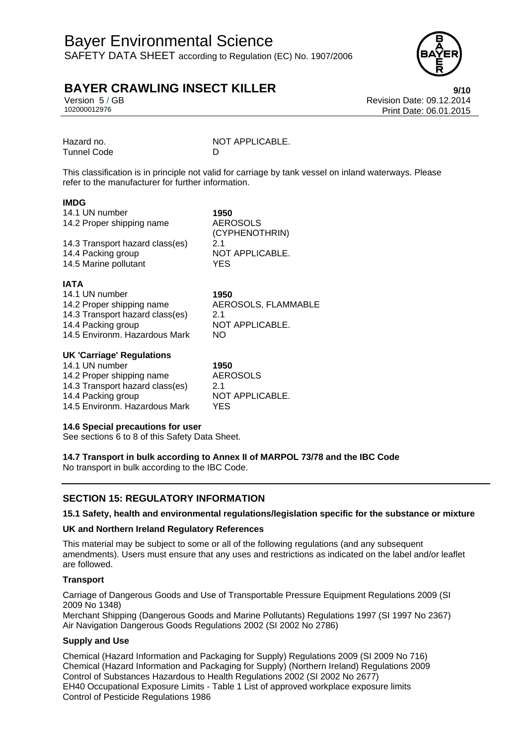### Bayer Environmental Science SAFETY DATA SHEET according to Regulation (EC) No. 1907/2006



### **BAYER CRAWLING INSECT KILLER 19/10**

Version 5 / GB Revision Date: 09.12.2014 Print Date: 06.01.2015

Tunnel Code D

Hazard no. NOT APPLICABLE.

This classification is in principle not valid for carriage by tank vessel on inland waterways. Please refer to the manufacturer for further information.

### **IMDG**

| 14.1 UN number                  | 1950                              |
|---------------------------------|-----------------------------------|
| 14.2 Proper shipping name       | <b>AEROSOLS</b><br>(CYPHENOTHRIN) |
| 14.3 Transport hazard class(es) | 21                                |
| 14.4 Packing group              | NOT APPLICABLE.                   |
| 14.5 Marine pollutant           | <b>YES</b>                        |
| <b>IATA</b>                     |                                   |
| 14.1 UN number                  | 1950                              |
| 14.2 Proper shipping name       | AEROSOLS, FLAMMABLE               |
| 14.3 Transport hazard class(es) | 21                                |

14.3 Transport hazard class(es) 2.1 14.4 Packing group 14.5 Environm. Hazardous Mark NO

| <b>UK 'Carriage' Regulations</b> |                 |
|----------------------------------|-----------------|
| 14.1 UN number                   | 1950            |
| 14.2 Proper shipping name        | <b>AEROSOLS</b> |
| 14.3 Transport hazard class(es)  | 2.1             |
| 14.4 Packing group               | NOT APPLICABLE. |
| 14.5 Environm. Hazardous Mark    | YES             |

### **14.6 Special precautions for user**

See sections 6 to 8 of this Safety Data Sheet.

**14.7 Transport in bulk according to Annex II of MARPOL 73/78 and the IBC Code**  No transport in bulk according to the IBC Code.

### **SECTION 15: REGULATORY INFORMATION**

### **15.1 Safety, health and environmental regulations/legislation specific for the substance or mixture**

### **UK and Northern Ireland Regulatory References**

This material may be subject to some or all of the following regulations (and any subsequent amendments). Users must ensure that any uses and restrictions as indicated on the label and/or leaflet are followed.

### **Transport**

Carriage of Dangerous Goods and Use of Transportable Pressure Equipment Regulations 2009 (SI 2009 No 1348)

Merchant Shipping (Dangerous Goods and Marine Pollutants) Regulations 1997 (SI 1997 No 2367) Air Navigation Dangerous Goods Regulations 2002 (SI 2002 No 2786)

### **Supply and Use**

Chemical (Hazard Information and Packaging for Supply) Regulations 2009 (SI 2009 No 716) Chemical (Hazard Information and Packaging for Supply) (Northern Ireland) Regulations 2009 Control of Substances Hazardous to Health Regulations 2002 (SI 2002 No 2677) EH40 Occupational Exposure Limits - Table 1 List of approved workplace exposure limits Control of Pesticide Regulations 1986